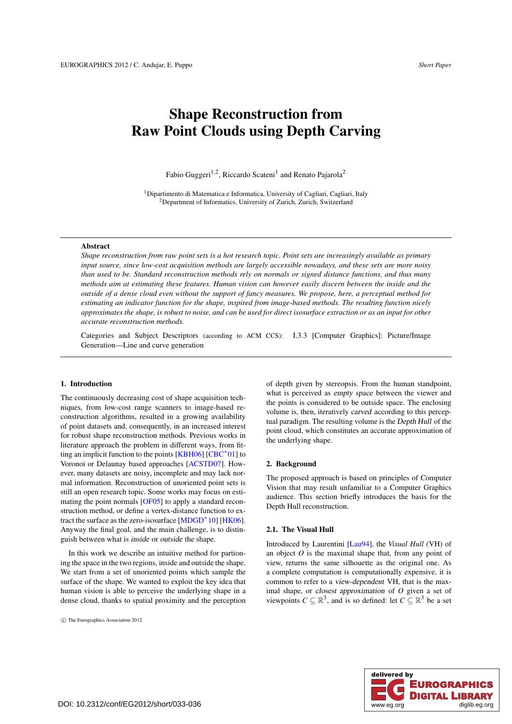# <span id="page-0-0"></span>Shape Reconstruction from Raw Point Clouds using Depth Carving

Fabio Guggeri<sup>1,2</sup>, Riccardo Scateni<sup>1</sup> and Renato Pajarola<sup>2</sup>

<sup>1</sup>Dipartimento di Matematica e Informatica, University of Cagliari, Cagliari, Italy 2Department of Informatics, University of Zurich, Zurich, Switzerland

## Abstract

*Shape reconstruction from raw point sets is a hot research topic. Point sets are increasingly available as primary input source, since low-cost acquisition methods are largely accessible nowadays, and these sets are more noisy than used to be. Standard reconstruction methods rely on normals or signed distance functions, and thus many methods aim at estimating these features. Human vision can however easily discern between the inside and the outside of a dense cloud even without the support of fancy measures. We propose, here, a perceptual method for estimating an indicator function for the shape, inspired from image-based methods. The resulting function nicely approximates the shape, is robust to noise, and can be used for direct isosurface extraction or as an input for other accurate reconstruction methods.*

Categories and Subject Descriptors (according to ACM CCS): I.3.3 [Computer Graphics]: Picture/Image Generation—Line and curve generation

# 1. Introduction

The continuously decreasing cost of shape acquisition techniques, from low-cost range scanners to image-based reconstruction algorithms, resulted in a growing availability of point datasets and, consequently, in an increased interest for robust shape reconstruction methods. Previous works in literature approach the problem in different ways, from fitting an implicit function to the points [\[KBH06\]](#page-3-0) [\[CBC](#page-3-1)∗01] to Voronoi or Delaunay based approaches [\[ACSTD07\]](#page-3-2). However, many datasets are noisy, incomplete and may lack normal information. Reconstruction of unoriented point sets is still an open research topic. Some works may focus on estimating the point normals [\[OF05\]](#page-3-3) to apply a standard reconstruction method, or define a vertex-distance function to extract the surface as the zero-isosurface [\[MDGD](#page-3-4)∗10] [\[HK06\]](#page-3-5). Anyway the final goal, and the main challenge, is to distinguish between what is inside or outside the shape.

In this work we describe an intuitive method for partioning the space in the two regions, inside and outside the shape. We start from a set of unoriented points which sample the surface of the shape. We wanted to exploit the key idea that human vision is able to perceive the underlying shape in a dense cloud, thanks to spatial proximity and the perception

c The Eurographics Association 2012.

of depth given by stereopsis. From the human standpoint, what is perceived as empty space between the viewer and the points is considered to be outside space. The enclosing volume is, then, iteratively carved according to this perceptual paradigm. The resulting volume is the Depth Hull of the point cloud, which constitutes an accurate approximation of the underlying shape.

#### 2. Background

The proposed approach is based on principles of Computer Vision that may result unfamiliar to a Computer Graphics audience. This section briefly introduces the basis for the Depth Hull reconstruction.

## 2.1. The Visual Hull

Introduced by Laurentini [\[Lau94\]](#page-3-6), the *Visual Hull* (VH) of an object *O* is the maximal shape that, from any point of view, returns the same silhouette as the original one. As a complete computation is computationally expensive, it is common to refer to a view-dependent VH, that is the maximal shape, or closest approximation of *O* given a set of viewpoints  $C \subseteq \mathbb{R}^3$ , and is so defined: let  $C \subseteq \mathbb{R}^3$  be a set

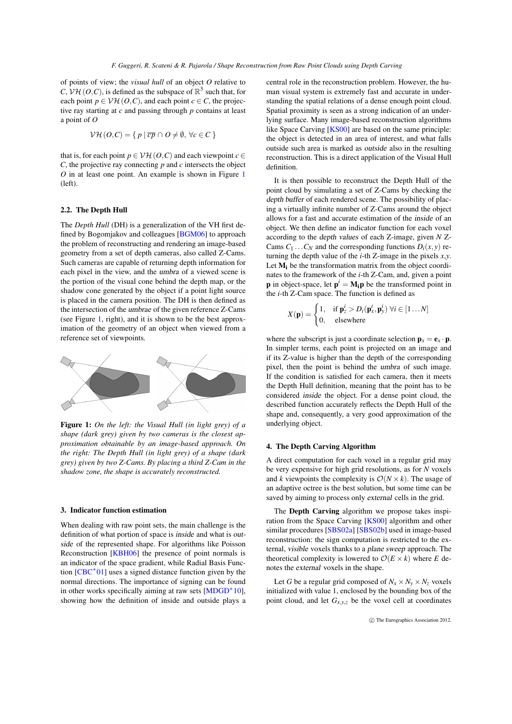<span id="page-1-1"></span>of points of view; the *visual hull* of an object *O* relative to *C*,  $V\mathcal{H}(O,C)$ , is defined as the subspace of  $\mathbb{R}^3$  such that, for each point  $p \in V\mathcal{H}(O, C)$ , and each point  $c \in C$ , the projective ray starting at *c* and passing through *p* contains at least a point of *O*

$$
\mathcal{V}\mathcal{H}(O,C) = \{ p \mid \overline{cp} \cap O \neq \emptyset, \forall c \in C \}
$$

that is, for each point  $p \in \mathcal{VH}(O, C)$  and each viewpoint  $c \in$ *C*, the projective ray connecting *p* and *c* intersects the object *O* in at least one point. An example is shown in Figure [1](#page-1-0) (left).

# 2.2. The Depth Hull

The *Depth Hull* (DH) is a generalization of the VH first defined by Bogomjakov and colleagues [\[BGM06\]](#page-3-7) to approach the problem of reconstructing and rendering an image-based geometry from a set of depth cameras, also called Z-Cams. Such cameras are capable of returning depth information for each pixel in the view, and the umbra of a viewed scene is the portion of the visual cone behind the depth map, or the shadow cone generated by the object if a point light source is placed in the camera position. The DH is then defined as the intersection of the umbrae of the given reference Z-Cams (see Figure [1,](#page-1-0) right), and it is shown to be the best approximation of the geometry of an object when viewed from a reference set of viewpoints.



<span id="page-1-0"></span>Figure 1: *On the left: the Visual Hull (in light grey) of a shape (dark grey) given by two cameras is the closest approximation obtainable by an image-based approach. On the right: The Depth Hull (in light grey) of a shape (dark grey) given by two Z-Cams. By placing a third Z-Cam in the shadow zone, the shape is accurately reconstructed.*

#### 3. Indicator function estimation

When dealing with raw point sets, the main challenge is the definition of what portion of space is inside and what is outside of the represented shape. For algorithms like Poisson Reconstruction [\[KBH06\]](#page-3-0) the presence of point normals is an indicator of the space gradient, while Radial Basis Function [\[CBC](#page-3-1)∗01] uses a signed distance function given by the normal directions. The importance of signing can be found in other works specifically aiming at raw sets [\[MDGD](#page-3-4)∗10], showing how the definition of inside and outside plays a central role in the reconstruction problem. However, the human visual system is extremely fast and accurate in understanding the spatial relations of a dense enough point cloud. Spatial proximity is seen as a strong indication of an underlying surface. Many image-based reconstruction algorithms like Space Carving [\[KS00\]](#page-3-8) are based on the same principle: the object is detected in an area of interest, and what falls outside such area is marked as outside also in the resulting reconstruction. This is a direct application of the Visual Hull definition.

It is then possible to reconstruct the Depth Hull of the point cloud by simulating a set of Z-Cams by checking the depth buffer of each rendered scene. The possibility of placing a virtually infinite number of Z-Cams around the object allows for a fast and accurate estimation of the inside of an object. We then define an indicator function for each voxel according to the depth values of each Z-image, given *N* Z-Cams  $C_1 \ldots C_N$  and the corresponding functions  $D_i(x, y)$  returning the depth value of the *i*-th Z-image in the pixels *x*,*y*. Let  $M_i$  be the transformation matrix from the object coordinates to the framework of the *i*-th Z-Cam, and, given a point **p** in object-space, let  $p^i = M_i p$  be the transformed point in the *i*-th Z-Cam space. The function is defined as

$$
X(\mathbf{p}) = \begin{cases} 1, & \text{if } \mathbf{p}_z^i > D_i(\mathbf{p}_x^i, \mathbf{p}_y^i) \; \forall i \in [1 \dots N] \\ 0, & \text{elsewhere} \end{cases}
$$

where the subscript is just a coordinate selection  $\mathbf{p}_x = \mathbf{e}_x \cdot \mathbf{p}$ . In simpler terms, each point is projected on an image and if its Z-value is higher than the depth of the corresponding pixel, then the point is behind the umbra of such image. If the condition is satisfied for each camera, then it meets the Depth Hull definition, meaning that the point has to be considered inside the object. For a dense point cloud, the described function accurately reflects the Depth Hull of the shape and, consequently, a very good approximation of the underlying object.

# 4. The Depth Carving Algorithm

A direct computation for each voxel in a regular grid may be very expensive for high grid resolutions, as for *N* voxels and *k* viewpoints the complexity is  $O(N \times k)$ . The usage of an adaptive octree is the best solution, but some time can be saved by aiming to process only external cells in the grid.

The Depth Carving algorithm we propose takes inspiration from the Space Carving [\[KS00\]](#page-3-8) algorithm and other similar procedures [\[SBS02a\]](#page-3-9) [\[SBS02b\]](#page-3-10) used in image-based reconstruction: the sign computation is restricted to the external, visible voxels thanks to a plane sweep approach. The theoretical complexity is lowered to  $\mathcal{O}(E \times k)$  where *E* denotes the external voxels in the shape.

Let *G* be a regular grid composed of  $N_x \times N_y \times N_z$  voxels initialized with value 1, enclosed by the bounding box of the point cloud, and let  $G_{x,y,z}$  be the voxel cell at coordinates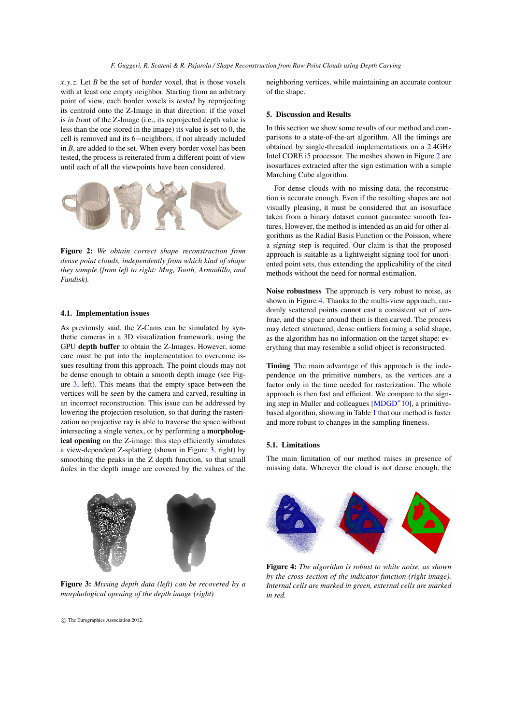<span id="page-2-3"></span> $x, y, z$ . Let *B* be the set of *border* voxel, that is those voxels with at least one empty neighbor. Starting from an arbitrary point of view, each border voxels is tested by reprojecting its centroid onto the Z-Image in that direction: if the voxel is in front of the Z-Image (i.e., its reprojected depth value is less than the one stored in the image) its value is set to 0, the cell is removed and its 6−neighbors, if not already included in *B*, are added to the set. When every border voxel has been tested, the process is reiterated from a different point of view until each of all the viewpoints have been considered.



<span id="page-2-1"></span>Figure 2: *We obtain correct shape reconstruction from dense point clouds, independently from which kind of shape they sample (from left to right: Mug, Tooth, Armadillo, and Fandisk).*

#### 4.1. Implementation issues

As previously said, the Z-Cams can be simulated by synthetic cameras in a 3D visualization framework, using the GPU depth buffer to obtain the Z-Images. However, some care must be put into the implementation to overcome issues resulting from this approach. The point clouds may not be dense enough to obtain a smooth depth image (see Figure [3,](#page-2-0) left). This means that the empty space between the vertices will be seen by the camera and carved, resulting in an incorrect reconstruction. This issue can be addressed by lowering the projection resolution, so that during the rasterization no projective ray is able to traverse the space without intersecting a single vertex, or by performing a morphological opening on the Z-image: this step efficiently simulates a view-dependent Z-splatting (shown in Figure [3,](#page-2-0) right) by smoothing the peaks in the Z depth function, so that small holes in the depth image are covered by the values of the



Figure 3: *Missing depth data (left) can be recovered by a morphological opening of the depth image (right)*

c The Eurographics Association 2012.

neighboring vertices, while maintaining an accurate contour of the shape.

## 5. Discussion and Results

In this section we show some results of our method and comparisons to a state-of-the-art algorithm. All the timings are obtained by single-threaded implementations on a 2.4GHz Intel CORE i5 processor. The meshes shown in Figure [2](#page-2-1) are isosurfaces extracted after the sign estimation with a simple Marching Cube algorithm.

For dense clouds with no missing data, the reconstruction is accurate enough. Even if the resulting shapes are not visually pleasing, it must be considered that an isosurface taken from a binary dataset cannot guarantee smooth features. However, the method is intended as an aid for other algorithms as the Radial Basis Function or the Poisson, where a signing step is required. Our claim is that the proposed approach is suitable as a lightweight signing tool for unoriented point sets, thus extending the applicability of the cited methods without the need for normal estimation.

Noise robustness The approach is very robust to noise, as shown in Figure [4.](#page-2-2) Thanks to the multi-view approach, randomly scattered points cannot cast a consistent set of umbrae, and the space around them is then carved. The process may detect structured, dense outliers forming a solid shape, as the algorithm has no information on the target shape: everything that may resemble a solid object is reconstructed.

Timing The main advantage of this approach is the independence on the primitive numbers, as the vertices are a factor only in the time needed for rasterization. The whole approach is then fast and efficient. We compare to the signing step in Muller and colleagues [\[MDGD](#page-3-4)∗10], a primitivebased algorithm, showing in Table [1](#page-3-11) that our method is faster and more robust to changes in the sampling fineness.

# 5.1. Limitations

The main limitation of our method raises in presence of missing data. Wherever the cloud is not dense enough, the

<span id="page-2-2"></span><span id="page-2-0"></span>

Figure 4: *The algorithm is robust to white noise, as shown by the cross-section of the indicator function (right image). Internal cells are marked in green, external cells are marked in red.*